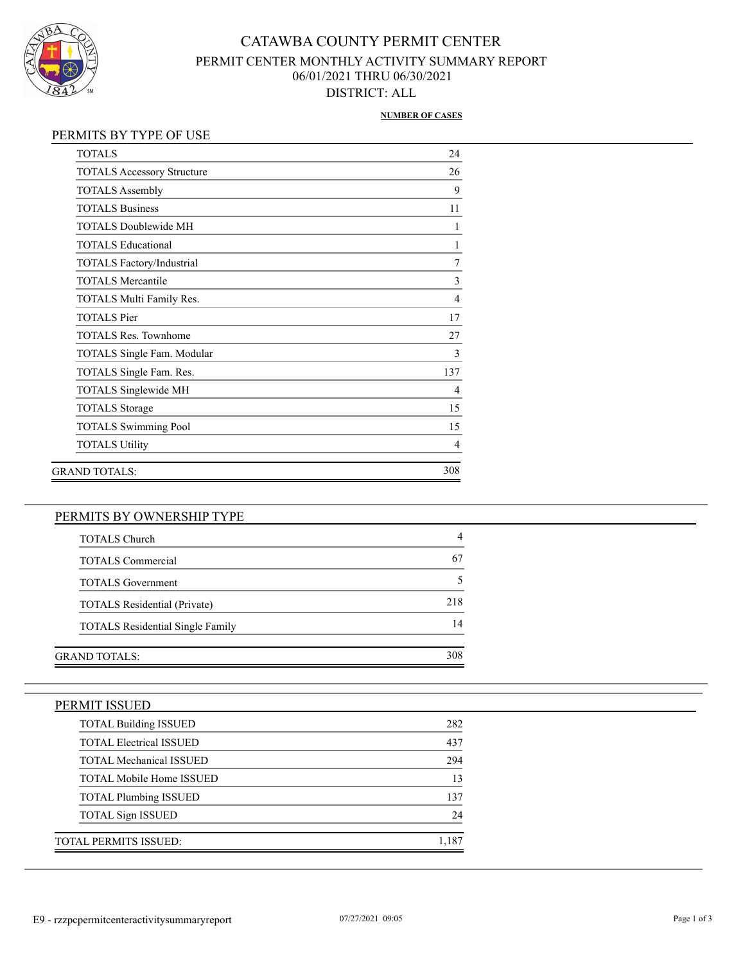

## CATAWBA COUNTY PERMIT CENTER PERMIT CENTER MONTHLY ACTIVITY SUMMARY REPORT 06/01/2021 THRU 06/30/2021 DISTRICT: ALL

#### **NUMBER OF CASES**

### PERMITS BY TYPE OF USE

| <b>TOTALS</b>                     | 24             |
|-----------------------------------|----------------|
| <b>TOTALS Accessory Structure</b> | 26             |
| <b>TOTALS Assembly</b>            | 9              |
| <b>TOTALS Business</b>            | 11             |
| TOTALS Doublewide MH              | 1              |
| <b>TOTALS Educational</b>         | 1              |
| <b>TOTALS Factory/Industrial</b>  | 7              |
| <b>TOTALS Mercantile</b>          | 3              |
| TOTALS Multi Family Res.          | $\overline{4}$ |
| <b>TOTALS</b> Pier                | 17             |
| TOTALS Res. Townhome              | 27             |
| TOTALS Single Fam. Modular        | 3              |
| TOTALS Single Fam. Res.           | 137            |
| TOTALS Singlewide MH              | 4              |
| <b>TOTALS</b> Storage             | 15             |
| <b>TOTALS Swimming Pool</b>       | 15             |
| <b>TOTALS Utility</b>             | $\overline{4}$ |
| GRAND TOTALS:                     | 308            |

### PERMITS BY OWNERSHIP TYPE

| <b>TOTALS Church</b>                    |     |
|-----------------------------------------|-----|
| <b>TOTALS</b> Commercial                | 67  |
| <b>TOTALS</b> Government                |     |
| <b>TOTALS</b> Residential (Private)     | 218 |
| <b>TOTALS Residential Single Family</b> | 14  |
|                                         |     |
| GRAND TOTALS:                           | 308 |

| <b>TOTAL Building ISSUED</b>    | 282   |
|---------------------------------|-------|
| <b>TOTAL Electrical ISSUED</b>  | 437   |
| <b>TOTAL Mechanical ISSUED</b>  | 294   |
| <b>TOTAL Mobile Home ISSUED</b> | 13    |
| <b>TOTAL Plumbing ISSUED</b>    | 137   |
| <b>TOTAL Sign ISSUED</b>        | 24    |
| <b>TOTAL PERMITS ISSUED:</b>    | 1,187 |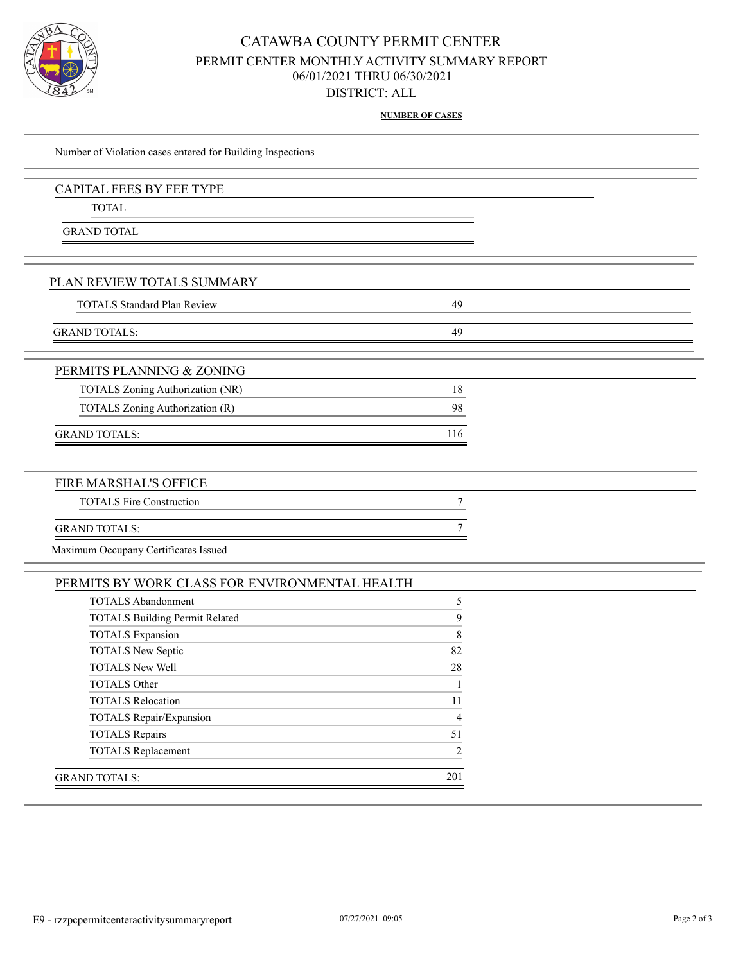

### CATAWBA COUNTY PERMIT CENTER PERMIT CENTER MONTHLY ACTIVITY SUMMARY REPORT 06/01/2021 THRU 06/30/2021 DISTRICT: ALL

**NUMBER OF CASES**

| Number of Violation cases entered for Building Inspections |     |  |
|------------------------------------------------------------|-----|--|
| <b>CAPITAL FEES BY FEE TYPE</b>                            |     |  |
| <b>TOTAL</b>                                               |     |  |
| <b>GRAND TOTAL</b>                                         |     |  |
| PLAN REVIEW TOTALS SUMMARY                                 |     |  |
| <b>TOTALS Standard Plan Review</b>                         | 49  |  |
| <b>GRAND TOTALS:</b>                                       | 49  |  |
| PERMITS PLANNING & ZONING                                  |     |  |
| TOTALS Zoning Authorization (NR)                           | 18  |  |
| TOTALS Zoning Authorization (R)                            | 98  |  |
| <b>GRAND TOTALS:</b>                                       | 116 |  |
| FIRE MARSHAL'S OFFICE                                      |     |  |
| <b>TOTALS Fire Construction</b>                            | 7   |  |
| <b>GRAND TOTALS:</b>                                       | 7   |  |
| Maximum Occupany Certificates Issued                       |     |  |
| PERMITS BY WORK CLASS FOR ENVIRONMENTAL HEALTH             |     |  |
| <b>TOTALS Abandonment</b>                                  | 5   |  |
| <b>TOTALS Building Permit Related</b>                      | 9   |  |

| TOTALS Building Permit Related | У              |
|--------------------------------|----------------|
| <b>TOTALS</b> Expansion        | 8              |
| <b>TOTALS New Septic</b>       | 82             |
| <b>TOTALS New Well</b>         | 28             |
| <b>TOTALS Other</b>            |                |
| <b>TOTALS Relocation</b>       | 11             |
| TOTALS Repair/Expansion        | $\overline{4}$ |
| <b>TOTALS</b> Repairs          | 51             |
| <b>TOTALS Replacement</b>      | $\mathfrak{D}$ |
|                                |                |
| GRAND TOTALS:                  | 201            |